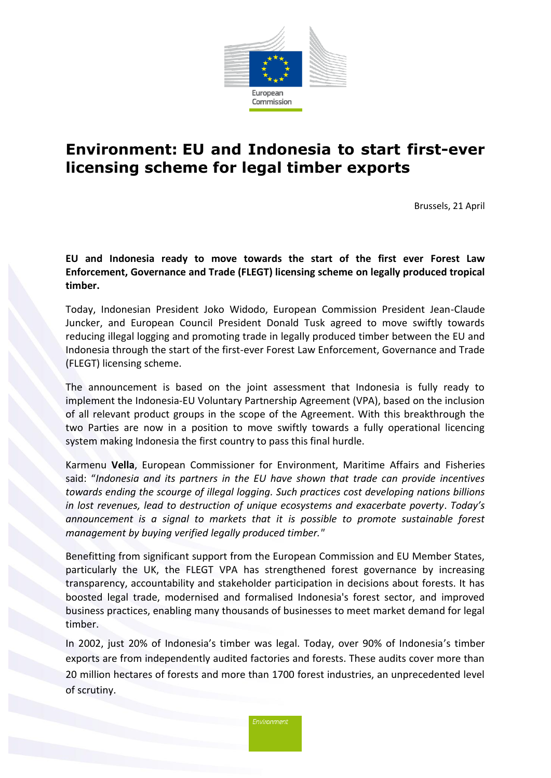

## **Environment: EU and Indonesia to start first-ever licensing scheme for legal timber exports**

Brussels, 21 April

**EU and Indonesia ready to move towards the start of the first ever Forest Law Enforcement, Governance and Trade (FLEGT) licensing scheme on legally produced tropical timber.** 

Today, Indonesian President Joko Widodo, European Commission President Jean-Claude Juncker, and European Council President Donald Tusk agreed to move swiftly towards reducing illegal logging and promoting trade in legally produced timber between the EU and Indonesia through the start of the first-ever Forest Law Enforcement, Governance and Trade (FLEGT) licensing scheme.

The announcement is based on the joint assessment that Indonesia is fully ready to implement the Indonesia-EU Voluntary Partnership Agreement (VPA), based on the inclusion of all relevant product groups in the scope of the Agreement. With this breakthrough the two Parties are now in a position to move swiftly towards a fully operational licencing system making Indonesia the first country to pass this final hurdle.

Karmenu **Vella**, European Commissioner for Environment, Maritime Affairs and Fisheries said: "*Indonesia and its partners in the EU have shown that trade can provide incentives towards ending the scourge of illegal logging. Such practices cost developing nations billions in lost revenues, lead to destruction of unique ecosystems and exacerbate poverty*. *Today's announcement is a signal to markets that it is possible to promote sustainable forest management by buying verified legally produced timber."*

Benefitting from significant support from the European Commission and EU Member States, particularly the UK, the FLEGT VPA has strengthened forest governance by increasing transparency, accountability and stakeholder participation in decisions about forests. It has boosted legal trade, modernised and formalised Indonesia's forest sector, and improved business practices, enabling many thousands of businesses to meet market demand for legal timber.

In 2002, just 20% of Indonesia's timber was legal. Today, over 90% of Indonesia's timber exports are from independently audited factories and forests. These audits cover more than 20 million hectares of forests and more than 1700 forest industries, an unprecedented level of scrutiny.

Environment